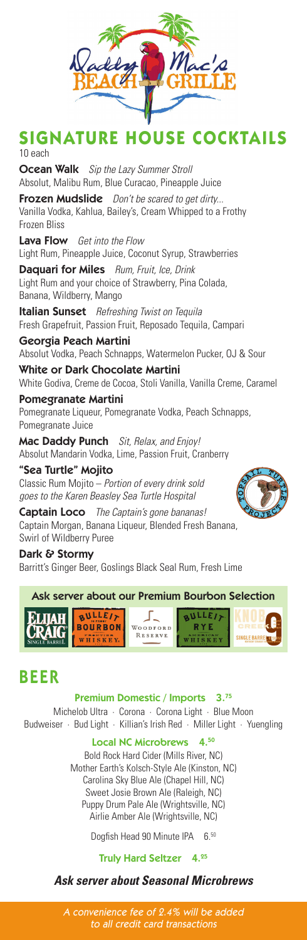

# **SIGNATURE HOUSE COCKTAILS** 10 each

Ocean Walk *Sip the Lazy Summer Stroll* Absolut, Malibu Rum, Blue Curacao, Pineapple Juice

Frozen Mudslide *Don't be scared to get dirty...* Vanilla Vodka, Kahlua, Bailey's, Cream Whipped to a Frothy Frozen Bliss

Lava Flow *Get into the Flow* Light Rum, Pineapple Juice, Coconut Syrup, Strawberries

Daquari for Miles *Rum, Fruit, Ice, Drink* Light Rum and your choice of Strawberry, Pina Colada, Banana, Wildberry, Mango

Italian Sunset *Refreshing Twist on Tequila* Fresh Grapefruit, Passion Fruit, Reposado Tequila, Campari

Georgia Peach Martini Absolut Vodka, Peach Schnapps, Watermelon Pucker, OJ & Sour

White or Dark Chocolate Martini White Godiva, Creme de Cocoa, Stoli Vanilla, Vanilla Creme, Caramel Pomegranate Martini

Pomegranate Liqueur, Pomegranate Vodka, Peach Schnapps, Pomegranate Juice

Mac Daddy Punch *Sit, Relax, and Enjoy!* Absolut Mandarin Vodka, Lime, Passion Fruit, Cranberry

"Sea Turtle" Mojito Classic Rum Mojito – *Portion of every drink sold goes to the Karen Beasley Sea Turtle Hospital*

Captain Loco *The Captain's gone bananas!* Captain Morgan, Banana Liqueur, Blended Fresh Banana, Swirl of Wildberry Puree

Dark & Stormy Barritt's Ginger Beer, Goslings Black Seal Rum, Fresh Lime



# BEER

Premium Domestic / Imports 3.75

Michelob Ultra · Corona · Corona Light · Blue Moon Budweiser · Bud Light · Killian's Irish Red · Miller Light · Yuengling

Local NC Microbrews 4.50

Bold Rock Hard Cider (Mills River, NC) Mother Earth's Kolsch-Style Ale (Kinston, NC) Carolina Sky Blue Ale (Chapel Hill, NC) Sweet Josie Brown Ale (Raleigh, NC) Puppy Drum Pale Ale (Wrightsville, NC) Airlie Amber Ale (Wrightsville, NC)

Dogfish Head 90 Minute IPA 6.50

### Truly Hard Seltzer 4.25

### *Ask server about Seasonal Microbrews*

A convenience fee of 2.4% will be added to all credit card transactions